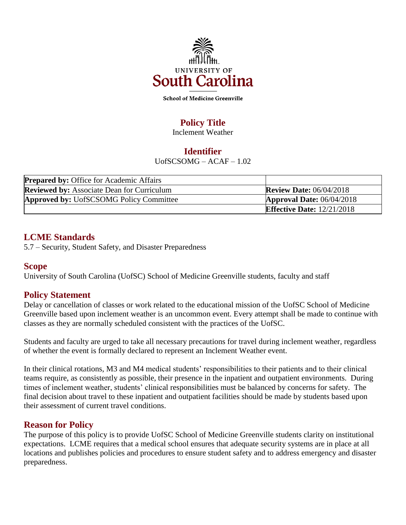

**School of Medicine Greenville** 

## **Policy Title**

Inclement Weather

## **Identifier**

UofSCSOMG – ACAF – 1.02

| <b>Prepared by: Office for Academic Affairs</b>   |                                     |
|---------------------------------------------------|-------------------------------------|
| <b>Reviewed by:</b> Associate Dean for Curriculum | <b>Review Date: 06/04/2018</b>      |
| <b>Approved by: UofSCSOMG Policy Committee</b>    | <b>Approval Date: 06/04/2018</b>    |
|                                                   | <b>Effective Date:</b> $12/21/2018$ |

#### **LCME Standards**

5.7 – Security, Student Safety, and Disaster Preparedness

#### **Scope**

University of South Carolina (UofSC) School of Medicine Greenville students, faculty and staff

## **Policy Statement**

Delay or cancellation of classes or work related to the educational mission of the UofSC School of Medicine Greenville based upon inclement weather is an uncommon event. Every attempt shall be made to continue with classes as they are normally scheduled consistent with the practices of the UofSC.

Students and faculty are urged to take all necessary precautions for travel during inclement weather, regardless of whether the event is formally declared to represent an Inclement Weather event.

In their clinical rotations, M3 and M4 medical students' responsibilities to their patients and to their clinical teams require, as consistently as possible, their presence in the inpatient and outpatient environments. During times of inclement weather, students' clinical responsibilities must be balanced by concerns for safety. The final decision about travel to these inpatient and outpatient facilities should be made by students based upon their assessment of current travel conditions.

## **Reason for Policy**

The purpose of this policy is to provide UofSC School of Medicine Greenville students clarity on institutional expectations. LCME requires that a medical school ensures that adequate security systems are in place at all locations and publishes policies and procedures to ensure student safety and to address emergency and disaster preparedness.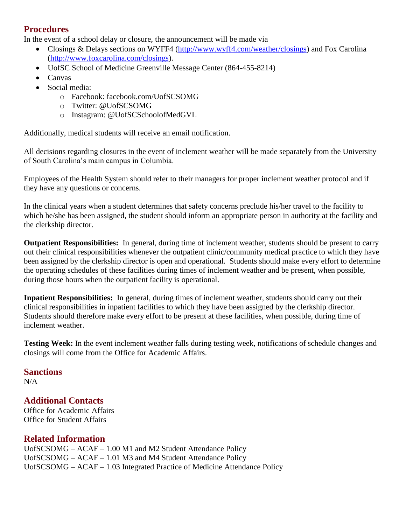## **Procedures**

In the event of a school delay or closure, the announcement will be made via

- Closings & Delays sections on WYFF4 [\(http://www.wyff4.com/weather/closings\)](http://www.wyff4.com/weather/closings) and Fox Carolina [\(http://www.foxcarolina.com/closings\)](http://www.foxcarolina.com/closings).
- UofSC School of Medicine Greenville Message Center (864-455-8214)
- Canvas
- Social media:
	- o Facebook: facebook.com/UofSCSOMG
	- o Twitter: @UofSCSOMG
	- o Instagram: @UofSCSchoolofMedGVL

Additionally, medical students will receive an email notification.

All decisions regarding closures in the event of inclement weather will be made separately from the University of South Carolina's main campus in Columbia.

Employees of the Health System should refer to their managers for proper inclement weather protocol and if they have any questions or concerns.

In the clinical years when a student determines that safety concerns preclude his/her travel to the facility to which he/she has been assigned, the student should inform an appropriate person in authority at the facility and the clerkship director.

**Outpatient Responsibilities:** In general, during time of inclement weather, students should be present to carry out their clinical responsibilities whenever the outpatient clinic/community medical practice to which they have been assigned by the clerkship director is open and operational. Students should make every effort to determine the operating schedules of these facilities during times of inclement weather and be present, when possible, during those hours when the outpatient facility is operational.

**Inpatient Responsibilities:** In general, during times of inclement weather, students should carry out their clinical responsibilities in inpatient facilities to which they have been assigned by the clerkship director. Students should therefore make every effort to be present at these facilities, when possible, during time of inclement weather.

**Testing Week:** In the event inclement weather falls during testing week, notifications of schedule changes and closings will come from the Office for Academic Affairs.

**Sanctions**

 $N/A$ 

#### **Additional Contacts**

Office for Academic Affairs Office for Student Affairs

#### **Related Information**

UofSCSOMG – ACAF – 1.00 M1 and M2 Student Attendance Policy UofSCSOMG – ACAF – 1.01 M3 and M4 Student Attendance Policy UofSCSOMG – ACAF – 1.03 Integrated Practice of Medicine Attendance Policy